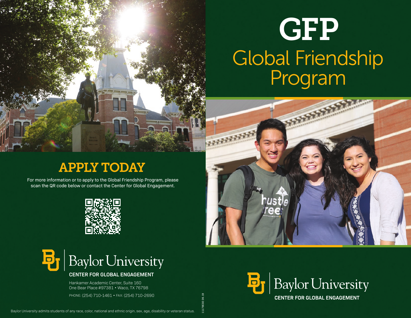# **GFP** Global Friendship Program

## APPLY TODAY

For more information or to apply to the Global Friendship Program, please scan the QR code below or contact the Center for Global Engagement.





#### **CENTER FOR GLOBAL ENGAGEMENT**

Hankamer Academic Center, Suite 160 One Bear Place #97381 • Waco, TX 76798

PHONE: (254) 710-1461 • FAX: (254) 710-2690

11178CGE 06.19

**REFERENCE**